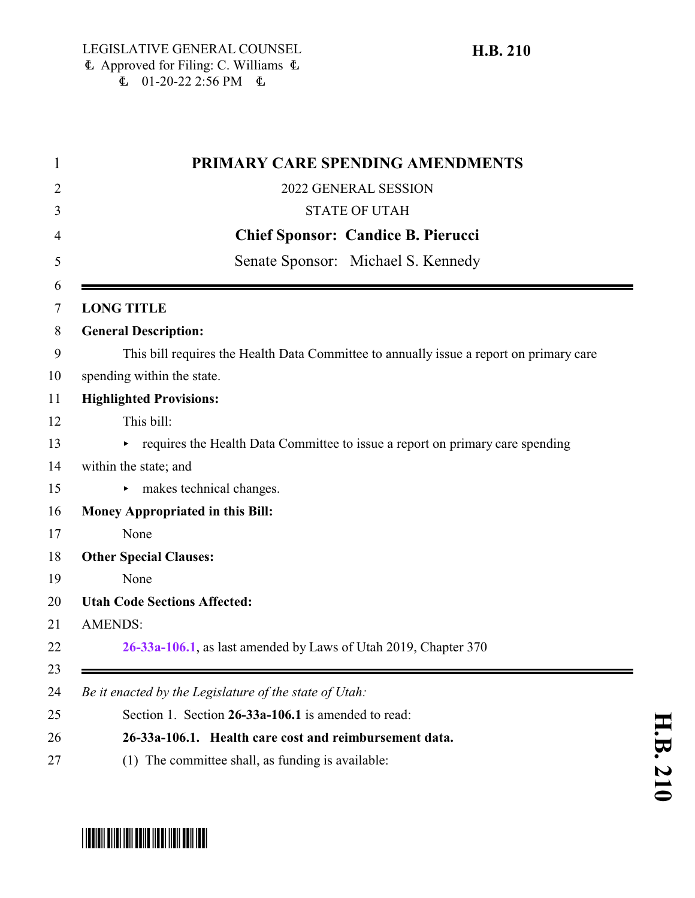|                | PRIMARY CARE SPENDING AMENDMENTS                                                        |
|----------------|-----------------------------------------------------------------------------------------|
|                | 2022 GENERAL SESSION                                                                    |
|                | <b>STATE OF UTAH</b>                                                                    |
|                | <b>Chief Sponsor: Candice B. Pierucci</b>                                               |
|                | Senate Sponsor: Michael S. Kennedy                                                      |
|                | <b>LONG TITLE</b>                                                                       |
|                | <b>General Description:</b>                                                             |
|                | This bill requires the Health Data Committee to annually issue a report on primary care |
|                | spending within the state.                                                              |
|                | <b>Highlighted Provisions:</b>                                                          |
|                | This bill:                                                                              |
|                | requires the Health Data Committee to issue a report on primary care spending           |
|                | within the state; and                                                                   |
|                | makes technical changes.                                                                |
|                | <b>Money Appropriated in this Bill:</b>                                                 |
|                | None                                                                                    |
|                | <b>Other Special Clauses:</b>                                                           |
|                | None                                                                                    |
|                | <b>Utah Code Sections Affected:</b>                                                     |
| <b>AMENDS:</b> |                                                                                         |
|                | 26-33a-106.1, as last amended by Laws of Utah 2019, Chapter 370                         |
|                | Be it enacted by the Legislature of the state of Utah:                                  |
|                | Section 1. Section 26-33a-106.1 is amended to read:                                     |
|                | 26-33a-106.1. Health care cost and reimbursement data.                                  |
|                | (1) The committee shall, as funding is available:                                       |

## **H.B.**

# <span id="page-0-0"></span>\*HB0210\*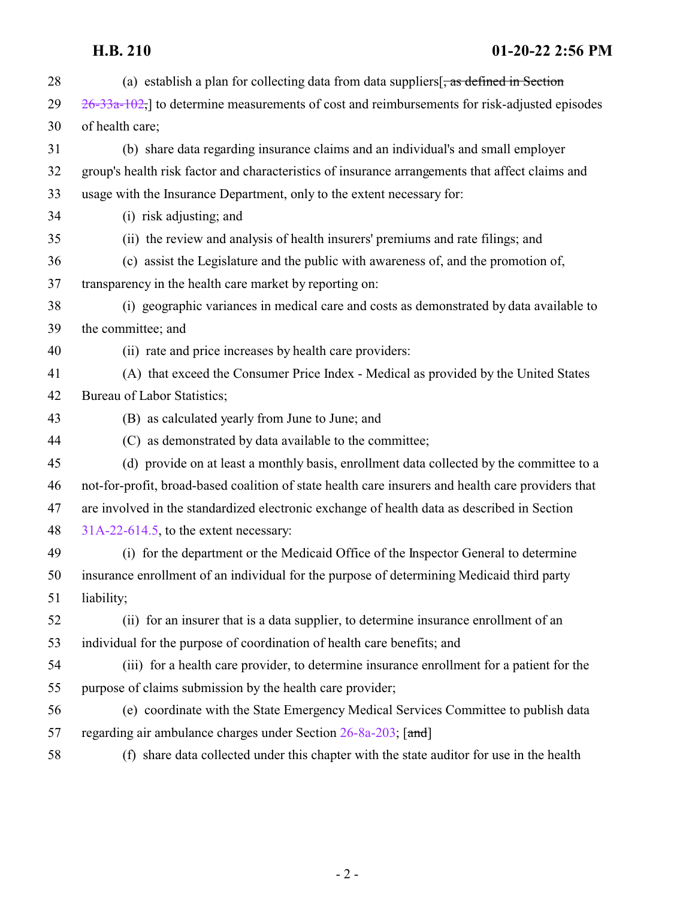#### **H.B. 210 01-20-22 2:56 PM**

| 28 | (a) establish a plan for collecting data from data suppliers $\frac{1}{2}$ as defined in Section   |
|----|----------------------------------------------------------------------------------------------------|
| 29 | $26-33a-102$ , to determine measurements of cost and reimbursements for risk-adjusted episodes     |
| 30 | of health care;                                                                                    |
| 31 | (b) share data regarding insurance claims and an individual's and small employer                   |
| 32 | group's health risk factor and characteristics of insurance arrangements that affect claims and    |
| 33 | usage with the Insurance Department, only to the extent necessary for:                             |
| 34 | (i) risk adjusting; and                                                                            |
| 35 | (ii) the review and analysis of health insurers' premiums and rate filings; and                    |
| 36 | (c) assist the Legislature and the public with awareness of, and the promotion of,                 |
| 37 | transparency in the health care market by reporting on:                                            |
| 38 | (i) geographic variances in medical care and costs as demonstrated by data available to            |
| 39 | the committee; and                                                                                 |
| 40 | (ii) rate and price increases by health care providers:                                            |
| 41 | (A) that exceed the Consumer Price Index - Medical as provided by the United States                |
| 42 | Bureau of Labor Statistics;                                                                        |
| 43 | (B) as calculated yearly from June to June; and                                                    |
| 44 | (C) as demonstrated by data available to the committee;                                            |
| 45 | (d) provide on at least a monthly basis, enrollment data collected by the committee to a           |
| 46 | not-for-profit, broad-based coalition of state health care insurers and health care providers that |
| 47 | are involved in the standardized electronic exchange of health data as described in Section        |
| 48 | $31A-22-614.5$ , to the extent necessary:                                                          |
| 49 | (i) for the department or the Medicaid Office of the Inspector General to determine                |
| 50 | insurance enrollment of an individual for the purpose of determining Medicaid third party          |
| 51 | liability;                                                                                         |
| 52 | (ii) for an insurer that is a data supplier, to determine insurance enrollment of an               |
| 53 | individual for the purpose of coordination of health care benefits; and                            |
| 54 | (iii) for a health care provider, to determine insurance enrollment for a patient for the          |
| 55 | purpose of claims submission by the health care provider;                                          |
| 56 | (e) coordinate with the State Emergency Medical Services Committee to publish data                 |
| 57 | regarding air ambulance charges under Section 26-8a-203; [and]                                     |
| 58 | (f) share data collected under this chapter with the state auditor for use in the health           |
|    |                                                                                                    |